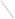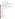# **Consumer Factsheet on: 2,4-D**

#### [List of Contaminants](http://www.epa.gov/safewater/hfacts.html)

 As part of the Drinking Water and Health pages, this fact sheet is part of a larger publication: **National Primary Drinking Water Regulations** 

 States Environmental Protection Agency (EPA). This is a factsheet about a chemical that may be found in some public or private drinking water supplies. It may cause health problems if found in amounts greater than the health standard set by the United

### **What is 2,4-D and how is it used?**

 agriculture, and for control of woody plants along roadsides, railways, and utilities rights of way. It has 2,4-D is a colorless, odorless powder used as a herbicide for the control of broad-leaf weeds in been most widely used on such crops as wheat and corn, and on pasture and rangelands.

 The list of trade names given below may help you find out whether you are using this chemical at home or work.

#### **Trade Names and Synonyms:**

 "Agent White" Brush Killer 64<br>Dicofur Dormon<br>Ipaner Moxon Netagrone Pielik Verton 38 Tributon Weedatul Salvo Red Devil Dry Weed Killer Weed-Rhap LV40 Weedone 100 Bladex-B Moxon<br>Netagrone<br>Pielik<br>Verton 38<br>Mota Maskros<br>Silvaprop 1 Agricorn D Acme LV4 Croprider Fernesta Lawn-Keep Pennamine D Plantgard Tributon<br>Weed-B-Gon<br>Weedatul<br>Agroxone Weedar Green Cross Weed-No-More 80 Scott's 4XD 2,4-Dichloro-phenoxyacetic acid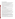# **Why is 2,4-D being Regulated?**

 based solely on possible health risks and exposure, are called Maximum Contaminant Level Goals. In 1974, Congress passed the Safe Drinking Water Act. This law requires EPA to determine safe levels of chemicals in drinking water which do or may cause health problems. These non-enforceable levels,

 The MCLG for 2,4-D has been set at 70 parts per billion (ppb) because EPA believes this level of protection would not cause any of the potential health problems described below.

 Based on this MCLG, EPA has set an enforceable standard called a Maximum Contaminant Level (MCL). MCLs are set as close to the MCLGs as possible, considering the ability of public water systems to detect and remove contaminants using suitable treatment technologies.

 The MCL has been set at 70 ppb because EPA believes, given present technology and resources, this is occur in drinking water. the lowest level to which water systems can reasonably be required to remove this contaminant should it

These drinking water standards and the regulations for ensuring these standards are met, are called National Primary Drinking Water Regulations. All public water supplies must abide by these regulations.

# **What are the Health Effects?**

 Short-term: EPA has found 2,4-D to potentially cause the following health effects when people are exposed to it at levels above the MCL for relatively short periods of time: nervous system damage.

 the MCL: damage to the nervous system, kidneys and liver. Long-term: 2,4-D has the potential to cause the following effects from a lifetime exposure at levels above

### **How much 2,4-D is produced and released to the environment?**

 also released as a result of the production or disposal of 2,4-D or its by-products. Production of 2,4-D was 45.1 million lbs in 1982. 1991 data indicates only that production exceeded 5000 lbs. Major environmental releases of 2,4-D are due to agricultural applications of systemic herbicides. It is

From 1987 to 1993, according to EPA's Toxic Chemical Release Inventory, 2,4-D releases to land and water totalled over 116,000 lbs. These releases were primarily from cane sugar-related industries (except refineries). The largest releases occurred in Hawaii.

### **What happens to 2,4-D when it is released to the environment?**

 2,4-D is readily degraded by microbes in soil and water. Leaching to ground water may occur in coarse- grained sandy soils with low organic content or with very basic soils. In general little runoff occurs with 2,4-D or its amine salts. There is no evidence that bioconcentration of 2,4-D occurs through the food chain. This has been known from large-scale monitoring studies of soils, foods, feedstuffs, wildlife, human beings, and from other environmental cycling studies.

# **How will 2,4-D be Detected in and Removed from My Drinking Water?**

 The regulation for 2,4-D became effective in 1992. Between 1993 and 1995, EPA required your water supplier to collect water samples every 3 months for one year and analyze them to find out if 2,4-D is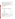present above 0.5 ppb. If it is present above this level, the system must continue to monitor this contaminant.

If contaminant levels are found to be consistently above the MCL, your water supplier must take steps to reduce the amount of 2,4-D so that it is consistently below that level. The following treatment methods have been approved by EPA for removing 2,4-D: Granular activated charcoal.

#### **How will I know if 2,4-D is in my drinking water?**

If the levels of 2,4-D exceed the MCL, 70 ppb, the system must notify the public via newspapers, radio, TV and other means. Additional actions, such as providing alternative drinking water supplies, may be required to prevent serious risks to public health.

#### **Drinking Water Standards:**

Mclg: 70 ppb

Mcl: 70 ppb

# **2,4-D Releases to Water and Land, 1987 to 1993 (in pounds):**

| <b>TOTALS (in pounds)</b>                                                                                     | Water<br>3,444 | Land<br>113,358                        |
|---------------------------------------------------------------------------------------------------------------|----------------|----------------------------------------|
| <b>Top Five States</b><br>HI<br>FL<br><b>MO</b><br>MI<br><b>TX</b>                                            |                | 73,679<br>38,456<br>4440<br>822<br>800 |
| <b>Major Industries</b><br>Cane sugar<br>Agri. chems.<br>Plastics, resins<br>Misc. manufact.<br>Gen. Chemical |                | 99,886<br>815<br>696<br>400<br>126     |

 \* Water/Land totals only include facilities with releases greater than a certain amount - usually 1000 to 10,000 lbs.

### **Learn more about your drinking water!**

 protect and upgrade the supply of safe drinking water. Your water bill or telephone book's government listings are a good starting point. EPA strongly encourages people to learn more about their drinking water, and to support local efforts to

 Your local water supplier can give you a list of the chemicals they test for in your water, as well as how your water is treated.

Your state Department of Health/Environment is also a valuable source of information.